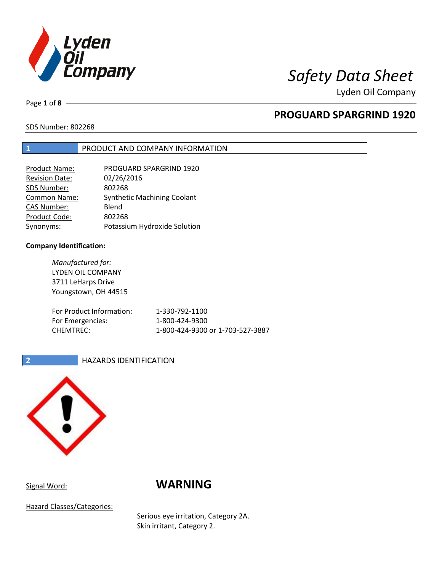

Lyden Oil Company

Page **1** of **8**

# **PROGUARD SPARGRIND 1920**

SDS Number: 802268

## **1** PRODUCT AND COMPANY INFORMATION

| <b>Product Name:</b>  | PROGUARD SPARGRIND 1920            |
|-----------------------|------------------------------------|
| <b>Revision Date:</b> | 02/26/2016                         |
| SDS Number:           | 802268                             |
| <b>Common Name:</b>   | <b>Synthetic Machining Coolant</b> |
| <b>CAS Number:</b>    | Blend                              |
| Product Code:         | 802268                             |
| Synonyms:             | Potassium Hydroxide Solution       |

### **Company Identification:**

*Manufactured for:* LYDEN OIL COMPANY 3711 LeHarps Drive Youngstown, OH 44515 For Product Information: 1-330-792-1100 For Emergencies: 1-800-424-9300 CHEMTREC: 1-800-424-9300 or 1-703-527-3887

## **2 HAZARDS IDENTIFICATION**



# Signal Word: **WARNING**

Hazard Classes/Categories:

Serious eye irritation, Category 2A. Skin irritant, Category 2.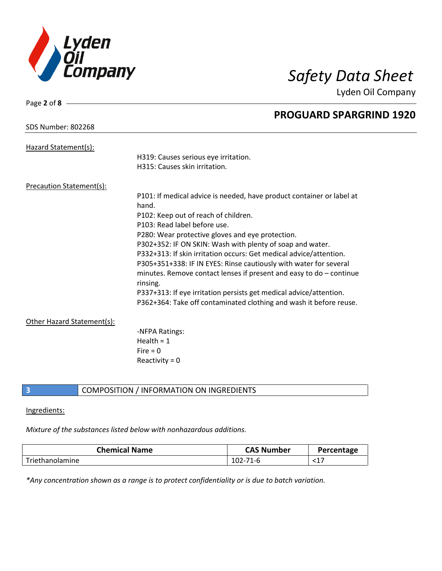

Lyden Oil Company

| Page 2 of 8                     |                                                                       |
|---------------------------------|-----------------------------------------------------------------------|
|                                 | <b>PROGUARD SPARGRIND 1920</b>                                        |
| <b>SDS Number: 802268</b>       |                                                                       |
| Hazard Statement(s):            |                                                                       |
|                                 | H319: Causes serious eye irritation.                                  |
|                                 | H315: Causes skin irritation.                                         |
| <b>Precaution Statement(s):</b> |                                                                       |
|                                 | P101: If medical advice is needed, have product container or label at |
|                                 | hand.                                                                 |
|                                 | P102: Keep out of reach of children.                                  |
|                                 | P103: Read label before use.                                          |
|                                 | P280: Wear protective gloves and eye protection.                      |
|                                 | P302+352: IF ON SKIN: Wash with plenty of soap and water.             |
|                                 | P332+313: If skin irritation occurs: Get medical advice/attention.    |
|                                 | P305+351+338: IF IN EYES: Rinse cautiously with water for several     |
|                                 | minutes. Remove contact lenses if present and easy to $do$ – continue |
|                                 | rinsing.                                                              |
|                                 | P337+313: If eye irritation persists get medical advice/attention.    |
|                                 | P362+364: Take off contaminated clothing and wash it before reuse.    |
| Other Hazard Statement(s):      |                                                                       |
|                                 | -NFPA Ratings:                                                        |
|                                 | Health = $1$                                                          |
|                                 | Fire $= 0$                                                            |
|                                 | Reactivity = $0$                                                      |
|                                 |                                                                       |

## **3** COMPOSITION / INFORMATION ON INGREDIENTS

### Ingredients:

# *Mixture of the substances listed below with nonhazardous additions.*

| <b>Chemical Name</b> | <b>CAS Number</b> | Percentage |
|----------------------|-------------------|------------|
| Triethanolamine      | $102 -$<br>-71-6  | ◝∸         |

*\*Any concentration shown as a range is to protect confidentiality or is due to batch variation.*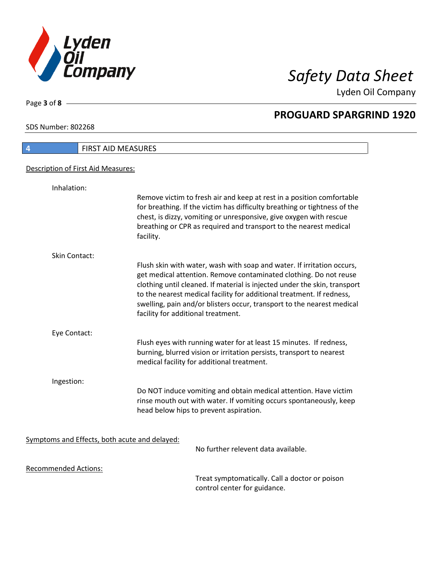

Lyden Oil Company

SDS Number: 802268

Page **3** of **8**

 $\overline{\phantom{a}}$ 

| $\overline{4}$                     | FIRST AID MEASURES                                                                                                                                                                                                                                                                                                                                                                                                |
|------------------------------------|-------------------------------------------------------------------------------------------------------------------------------------------------------------------------------------------------------------------------------------------------------------------------------------------------------------------------------------------------------------------------------------------------------------------|
| Description of First Aid Measures: |                                                                                                                                                                                                                                                                                                                                                                                                                   |
| Inhalation:                        |                                                                                                                                                                                                                                                                                                                                                                                                                   |
|                                    | Remove victim to fresh air and keep at rest in a position comfortable<br>for breathing. If the victim has difficulty breathing or tightness of the<br>chest, is dizzy, vomiting or unresponsive, give oxygen with rescue<br>breathing or CPR as required and transport to the nearest medical<br>facility.                                                                                                        |
| Skin Contact:                      |                                                                                                                                                                                                                                                                                                                                                                                                                   |
|                                    | Flush skin with water, wash with soap and water. If irritation occurs,<br>get medical attention. Remove contaminated clothing. Do not reuse<br>clothing until cleaned. If material is injected under the skin, transport<br>to the nearest medical facility for additional treatment. If redness,<br>swelling, pain and/or blisters occur, transport to the nearest medical<br>facility for additional treatment. |
| Eye Contact:                       |                                                                                                                                                                                                                                                                                                                                                                                                                   |
|                                    | Flush eyes with running water for at least 15 minutes. If redness,<br>burning, blurred vision or irritation persists, transport to nearest<br>medical facility for additional treatment.                                                                                                                                                                                                                          |
| Ingestion:                         |                                                                                                                                                                                                                                                                                                                                                                                                                   |
|                                    | Do NOT induce vomiting and obtain medical attention. Have victim<br>rinse mouth out with water. If vomiting occurs spontaneously, keep<br>head below hips to prevent aspiration.                                                                                                                                                                                                                                  |
|                                    | Symptoms and Effects, both acute and delayed:                                                                                                                                                                                                                                                                                                                                                                     |
|                                    | No further relevent data available.                                                                                                                                                                                                                                                                                                                                                                               |
| <b>Recommended Actions:</b>        |                                                                                                                                                                                                                                                                                                                                                                                                                   |
|                                    | Treat symptomatically. Call a doctor or poison                                                                                                                                                                                                                                                                                                                                                                    |

control center for guidance.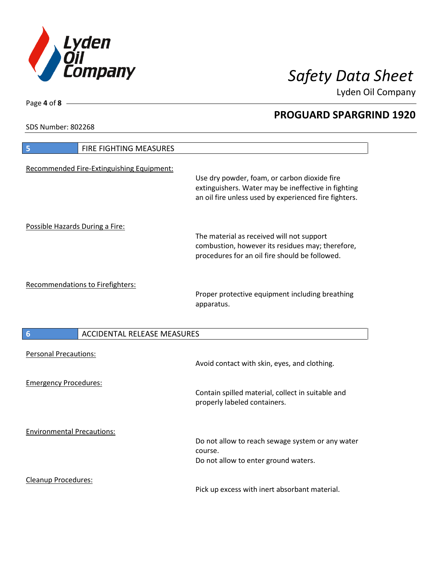

Lyden Oil Company

SDS Number: 802268

| FIRE FIGHTING MEASURES<br>5                           |                                                                                                                                                              |
|-------------------------------------------------------|--------------------------------------------------------------------------------------------------------------------------------------------------------------|
| Recommended Fire-Extinguishing Equipment:             | Use dry powder, foam, or carbon dioxide fire<br>extinguishers. Water may be ineffective in fighting<br>an oil fire unless used by experienced fire fighters. |
| Possible Hazards During a Fire:                       | The material as received will not support<br>combustion, however its residues may; therefore,<br>procedures for an oil fire should be followed.              |
| Recommendations to Firefighters:                      | Proper protective equipment including breathing<br>apparatus.                                                                                                |
| <b>ACCIDENTAL RELEASE MEASURES</b><br>$6\phantom{1}6$ |                                                                                                                                                              |
| <b>Personal Precautions:</b>                          | Avoid contact with skin, eyes, and clothing.                                                                                                                 |
| <b>Emergency Procedures:</b>                          | Contain spilled material, collect in suitable and<br>properly labeled containers.                                                                            |
| <b>Environmental Precautions:</b>                     | Do not allow to reach sewage system or any water<br>course.<br>Do not allow to enter ground waters.                                                          |
| <b>Cleanup Procedures:</b>                            |                                                                                                                                                              |

Pick up excess with inert absorbant material.

Page **4** of **8**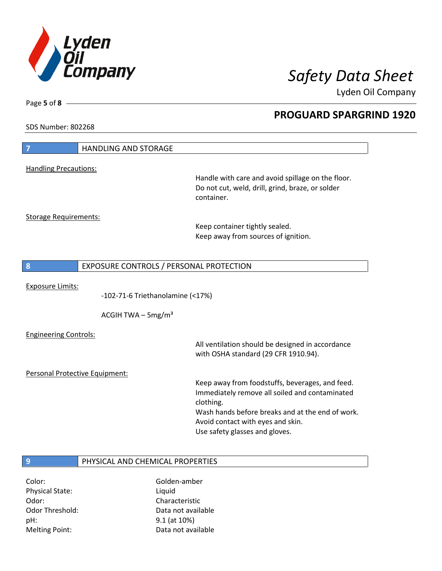

Lyden Oil Company

SDS Number: 802268

Page **5** of **8**

| 7                              | <b>HANDLING AND STORAGE</b>             |                                                                                       |
|--------------------------------|-----------------------------------------|---------------------------------------------------------------------------------------|
| <b>Handling Precautions:</b>   |                                         |                                                                                       |
|                                |                                         | Handle with care and avoid spillage on the floor.                                     |
|                                |                                         | Do not cut, weld, drill, grind, braze, or solder                                      |
|                                |                                         | container.                                                                            |
| <b>Storage Requirements:</b>   |                                         |                                                                                       |
|                                |                                         | Keep container tightly sealed.                                                        |
|                                |                                         | Keep away from sources of ignition.                                                   |
|                                |                                         |                                                                                       |
| 8                              | EXPOSURE CONTROLS / PERSONAL PROTECTION |                                                                                       |
|                                |                                         |                                                                                       |
| <b>Exposure Limits:</b>        |                                         |                                                                                       |
|                                | $-102-71-6$ Triethanolamine (<17%)      |                                                                                       |
|                                | ACGIH TWA $-$ 5mg/m <sup>3</sup>        |                                                                                       |
| <b>Engineering Controls:</b>   |                                         |                                                                                       |
|                                |                                         | All ventilation should be designed in accordance                                      |
|                                |                                         | with OSHA standard (29 CFR 1910.94).                                                  |
| Personal Protective Equipment: |                                         |                                                                                       |
|                                |                                         | Keep away from foodstuffs, beverages, and feed.                                       |
|                                |                                         | Immediately remove all soiled and contaminated                                        |
|                                |                                         | clothing.                                                                             |
|                                |                                         | Wash hands before breaks and at the end of work.<br>Avoid contact with eyes and skin. |
|                                |                                         | Use safety glasses and gloves.                                                        |
|                                |                                         |                                                                                       |
|                                |                                         |                                                                                       |
| 9                              | PHYSICAL AND CHEMICAL PROPERTIES        |                                                                                       |
| Color:                         | Golden-amber                            |                                                                                       |

Physical State: Liquid Odor: Characteristic pH: 9.1 (at 10%)

Odor Threshold: Data not available Melting Point: Case Controller Muslim Data not available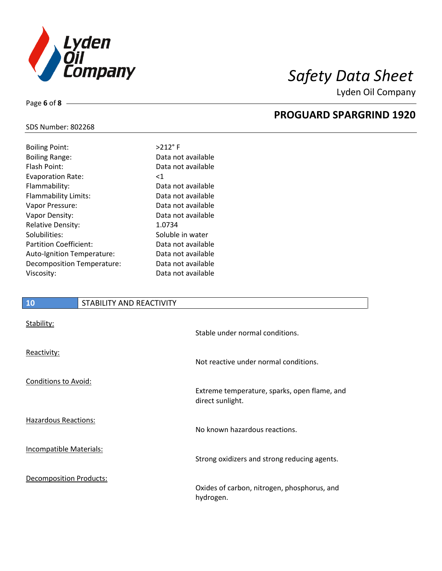

Lyden Oil Company

## SDS Number: 802268

Page **6** of **8**

| <b>Boiling Point:</b>         | $>212$ °F          |
|-------------------------------|--------------------|
| <b>Boiling Range:</b>         | Data not available |
| Flash Point:                  | Data not available |
| <b>Evaporation Rate:</b>      | <1                 |
| Flammability:                 | Data not available |
| Flammability Limits:          | Data not available |
| Vapor Pressure:               | Data not available |
| Vapor Density:                | Data not available |
| <b>Relative Density:</b>      | 1.0734             |
| Solubilities:                 | Soluble in water   |
| <b>Partition Coefficient:</b> | Data not available |
| Auto-Ignition Temperature:    | Data not available |
| Decomposition Temperature:    | Data not available |
| Viscosity:                    | Data not available |
|                               |                    |

# **10** STABILITY AND REACTIVITY

| Stability:                     | Stable under normal conditions.                                  |
|--------------------------------|------------------------------------------------------------------|
| Reactivity:                    | Not reactive under normal conditions.                            |
| Conditions to Avoid:           | Extreme temperature, sparks, open flame, and<br>direct sunlight. |
| <b>Hazardous Reactions:</b>    | No known hazardous reactions.                                    |
| Incompatible Materials:        | Strong oxidizers and strong reducing agents.                     |
| <b>Decomposition Products:</b> | Oxides of carbon, nitrogen, phosphorus, and<br>hydrogen.         |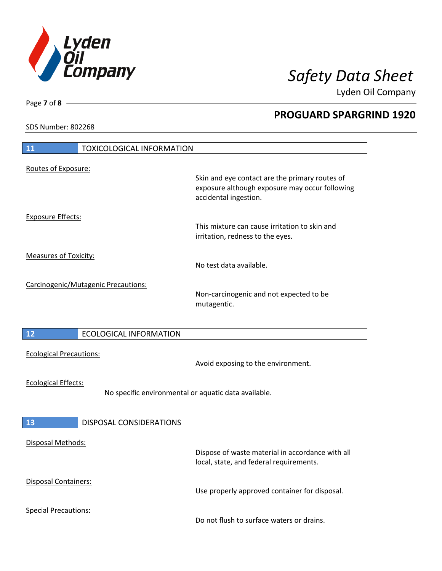

Lyden Oil Company

SDS Number: 802268

Page **7** of **8**

| <b>11</b>                      | <b>TOXICOLOGICAL INFORMATION</b>                     |                                                                                                                           |
|--------------------------------|------------------------------------------------------|---------------------------------------------------------------------------------------------------------------------------|
| Routes of Exposure:            |                                                      |                                                                                                                           |
|                                |                                                      | Skin and eye contact are the primary routes of<br>exposure although exposure may occur following<br>accidental ingestion. |
| <b>Exposure Effects:</b>       |                                                      | This mixture can cause irritation to skin and<br>irritation, redness to the eyes.                                         |
| <b>Measures of Toxicity:</b>   |                                                      | No test data available.                                                                                                   |
|                                | Carcinogenic/Mutagenic Precautions:                  | Non-carcinogenic and not expected to be<br>mutagentic.                                                                    |
| $12$                           | <b>ECOLOGICAL INFORMATION</b>                        |                                                                                                                           |
| <b>Ecological Precautions:</b> |                                                      | Avoid exposing to the environment.                                                                                        |
| <b>Ecological Effects:</b>     | No specific environmental or aquatic data available. |                                                                                                                           |
| <b>13</b>                      | <b>DISPOSAL CONSIDERATIONS</b>                       |                                                                                                                           |
| Disposal Methods:              |                                                      | Dispose of waste material in accordance with all<br>local, state, and federal requirements.                               |
| Disposal Containers:           |                                                      | Use properly approved container for disposal.                                                                             |
| <b>Special Precautions:</b>    |                                                      | Do not flush to surface waters or drains.                                                                                 |